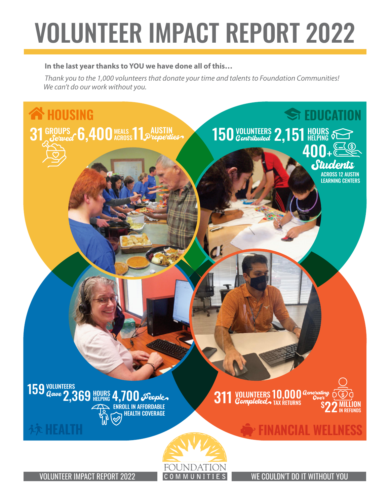# VOLUNTEER IMPACT REPORT 2022

#### **In the last year thanks to YOU we have done all of this…**

*Thank you to the 1,000 volunteers that donate your time and talents to Foundation Communities! We can't do our work without you.*



VOLUNTEER IMPACT REPORT 2022 COMMUNITIES WE COULDN'T DO IT WITHOUT YOU